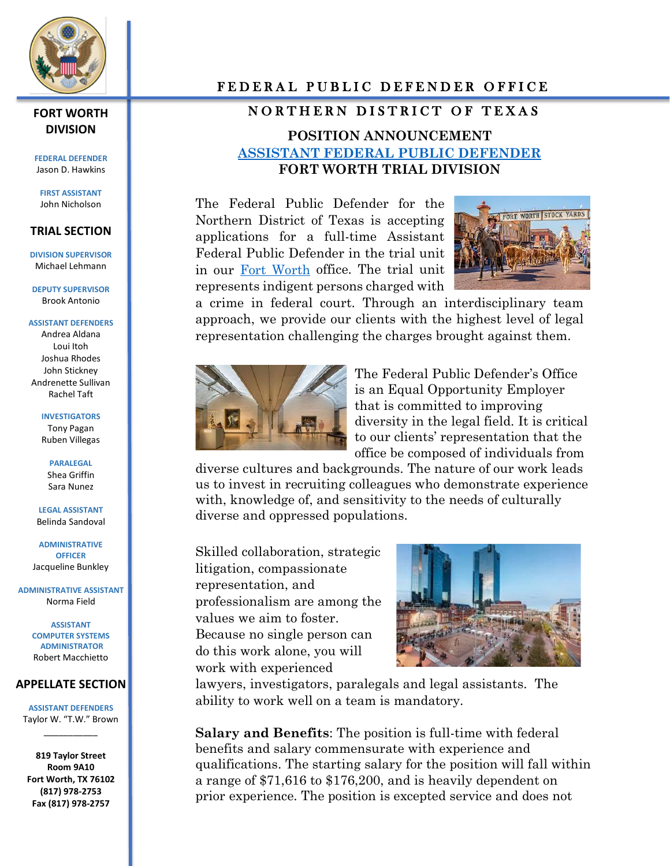

# **DIVISION**

**FEDERAL DEFENDER** Jason D. Hawkins

**FIRST ASSISTANT** John Nicholson

#### **TRIAL SECTION**

**DIVISION SUPERVISOR** Michael Lehmann

**DEPUTY SUPERVISOR** Brook Antonio

**ASSISTANT DEFENDERS** Andrea Aldana Loui Itoh Joshua Rhodes John Stickney Andrenette Sullivan Rachel Taft

> **INVESTIGATORS** Tony Pagan Ruben Villegas

> > **PARALEGAL** Shea Griffin Sara Nunez

**LEGAL ASSISTANT** Belinda Sandoval

**ADMINISTRATIVE OFFICER** Jacqueline Bunkley

**ADMINISTRATIVE ASSISTANT** Norma Field

> **ASSISTANT COMPUTER SYSTEMS ADMINISTRATOR** Robert Macchietto

#### **APPELLATE SECTION**

**ASSISTANT DEFENDERS** Taylor W. "T.W." Brown \_\_\_\_\_\_\_\_\_\_\_

**819 Taylor Street Room 9A10 Fort Worth, TX 76102 (817) 978-2753 Fax (817) 978-2757**

### FEDERAL PUBLIC DEFENDER OFFICE

## FORT WORTH **NORTHERN DISTRICT OF TEXAS**

# **POSITION ANNOUNCEMENT [ASSISTANT FEDERAL PUBLIC DEFENDER](https://txn.fd.org/) FORT WORTH TRIAL DIVISION**

The Federal Public Defender for the Northern District of Texas is accepting applications for a full-time Assistant Federal Public Defender in the trial unit in our [Fort Worth](https://www.fortworth.com/) office. The trial unit represents indigent persons charged with



a crime in federal court. Through an interdisciplinary team approach, we provide our clients with the highest level of legal representation challenging the charges brought against them.



The Federal Public Defender's Office is an Equal Opportunity Employer that is committed to improving diversity in the legal field. It is critical to our clients' representation that the office be composed of individuals from

diverse cultures and backgrounds. The nature of our work leads us to invest in recruiting colleagues who demonstrate experience with, knowledge of, and sensitivity to the needs of culturally diverse and oppressed populations.

Skilled collaboration, strategic litigation, compassionate representation, and professionalism are among the values we aim to foster. Because no single person can do this work alone, you will work with experienced



lawyers, investigators, paralegals and legal assistants. The ability to work well on a team is mandatory.

**Salary and Benefits**: The position is full-time with federal benefits and salary commensurate with experience and qualifications. The starting salary for the position will fall within a range of \$71,616 to \$176,200, and is heavily dependent on prior experience. The position is excepted service and does not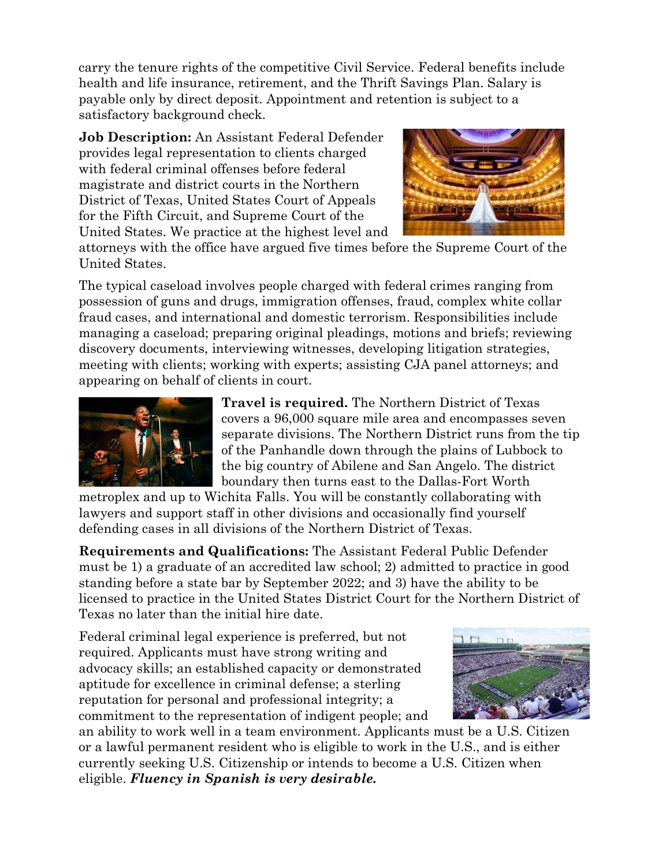carry the tenure rights of the competitive Civil Service. Federal benefits include health and life insurance, retirement, and the Thrift Savings Plan. Salary is payable only by direct deposit. Appointment and retention is subject to a satisfactory background check.

**Job Description:** An Assistant Federal Defender provides legal representation to clients charged with federal criminal offenses before federal magistrate and district courts in the Northern District of Texas, United States Court of Appeals for the Fifth Circuit, and Supreme Court of the United States. We practice at the highest level and



attorneys with the office have argued five times before the Supreme Court of the United States.

The typical caseload involves people charged with federal crimes ranging from possession of guns and drugs, immigration offenses, fraud, complex white collar fraud cases, and international and domestic terrorism. Responsibilities include managing a caseload; preparing original pleadings, motions and briefs; reviewing discovery documents, interviewing witnesses, developing litigation strategies, meeting with clients; working with experts; assisting CJA panel attorneys; and appearing on behalf of clients in court.



**Travel is required.** The Northern District of Texas covers a 96,000 square mile area and encompasses seven separate divisions. The Northern District runs from the tip of the Panhandle down through the plains of Lubbock to the big country of Abilene and San Angelo. The district boundary then turns east to the Dallas-Fort Worth

metroplex and up to Wichita Falls. You will be constantly collaborating with lawyers and support staff in other divisions and occasionally find yourself defending cases in all divisions of the Northern District of Texas.

**Requirements and Qualifications:** The Assistant Federal Public Defender must be 1) a graduate of an accredited law school; 2) admitted to practice in good standing before a state bar by September 2022; and 3) have the ability to be licensed to practice in the United States District Court for the Northern District of Texas no later than the initial hire date.

Federal criminal legal experience is preferred, but not required. Applicants must have strong writing and advocacy skills; an established capacity or demonstrated aptitude for excellence in criminal defense; a sterling reputation for personal and professional integrity; a commitment to the representation of indigent people; and



an ability to work well in a team environment. Applicants must be a U.S. Citizen or a lawful permanent resident who is eligible to work in the U.S., and is either currently seeking U.S. Citizenship or intends to become a U.S. Citizen when eligible. *Fluency in Spanish is very desirable.*